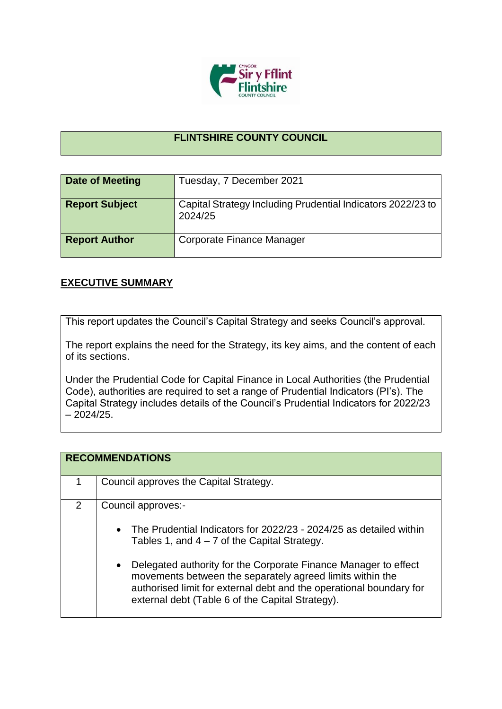

## **FLINTSHIRE COUNTY COUNCIL**

| <b>Date of Meeting</b> | Tuesday, 7 December 2021                                               |
|------------------------|------------------------------------------------------------------------|
| <b>Report Subject</b>  | Capital Strategy Including Prudential Indicators 2022/23 to<br>2024/25 |
| <b>Report Author</b>   | Corporate Finance Manager                                              |

## **EXECUTIVE SUMMARY**

This report updates the Council's Capital Strategy and seeks Council's approval.

The report explains the need for the Strategy, its key aims, and the content of each of its sections.

Under the Prudential Code for Capital Finance in Local Authorities (the Prudential Code), authorities are required to set a range of Prudential Indicators (PI's). The Capital Strategy includes details of the Council's Prudential Indicators for 2022/23  $-2024/25.$ 

|   | <b>RECOMMENDATIONS</b>                                                                                                                                                                                                                                                                                                                                                                                                   |
|---|--------------------------------------------------------------------------------------------------------------------------------------------------------------------------------------------------------------------------------------------------------------------------------------------------------------------------------------------------------------------------------------------------------------------------|
|   | Council approves the Capital Strategy.                                                                                                                                                                                                                                                                                                                                                                                   |
| 2 | Council approves:-<br>• The Prudential Indicators for $2022/23$ - $2024/25$ as detailed within<br>Tables 1, and $4 - 7$ of the Capital Strategy.<br>Delegated authority for the Corporate Finance Manager to effect<br>$\bullet$<br>movements between the separately agreed limits within the<br>authorised limit for external debt and the operational boundary for<br>external debt (Table 6 of the Capital Strategy). |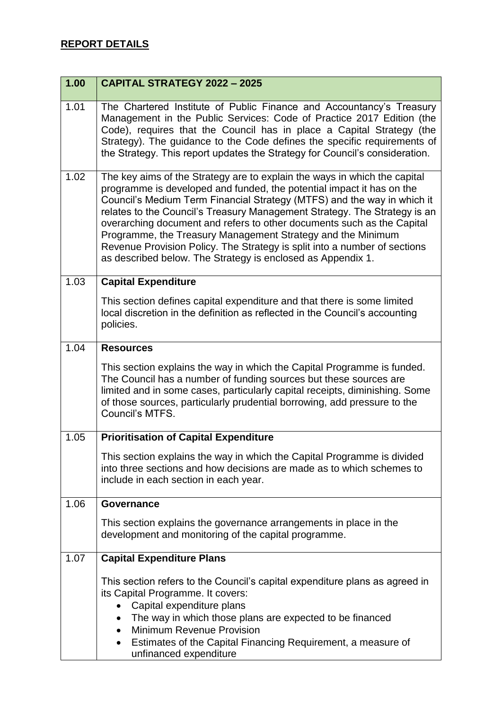| 1.00 | <b>CAPITAL STRATEGY 2022 - 2025</b>                                                                                                                                                                                                                                                                                                                                                                                                                                                                                                                                                             |
|------|-------------------------------------------------------------------------------------------------------------------------------------------------------------------------------------------------------------------------------------------------------------------------------------------------------------------------------------------------------------------------------------------------------------------------------------------------------------------------------------------------------------------------------------------------------------------------------------------------|
| 1.01 | The Chartered Institute of Public Finance and Accountancy's Treasury<br>Management in the Public Services: Code of Practice 2017 Edition (the<br>Code), requires that the Council has in place a Capital Strategy (the<br>Strategy). The guidance to the Code defines the specific requirements of<br>the Strategy. This report updates the Strategy for Council's consideration.                                                                                                                                                                                                               |
| 1.02 | The key aims of the Strategy are to explain the ways in which the capital<br>programme is developed and funded, the potential impact it has on the<br>Council's Medium Term Financial Strategy (MTFS) and the way in which it<br>relates to the Council's Treasury Management Strategy. The Strategy is an<br>overarching document and refers to other documents such as the Capital<br>Programme, the Treasury Management Strategy and the Minimum<br>Revenue Provision Policy. The Strategy is split into a number of sections<br>as described below. The Strategy is enclosed as Appendix 1. |
| 1.03 | <b>Capital Expenditure</b>                                                                                                                                                                                                                                                                                                                                                                                                                                                                                                                                                                      |
|      | This section defines capital expenditure and that there is some limited<br>local discretion in the definition as reflected in the Council's accounting<br>policies.                                                                                                                                                                                                                                                                                                                                                                                                                             |
| 1.04 | <b>Resources</b>                                                                                                                                                                                                                                                                                                                                                                                                                                                                                                                                                                                |
|      | This section explains the way in which the Capital Programme is funded.<br>The Council has a number of funding sources but these sources are<br>limited and in some cases, particularly capital receipts, diminishing. Some<br>of those sources, particularly prudential borrowing, add pressure to the<br>Council's MTFS.                                                                                                                                                                                                                                                                      |
| 1.05 | <b>Prioritisation of Capital Expenditure</b>                                                                                                                                                                                                                                                                                                                                                                                                                                                                                                                                                    |
|      | This section explains the way in which the Capital Programme is divided<br>into three sections and how decisions are made as to which schemes to<br>include in each section in each year.                                                                                                                                                                                                                                                                                                                                                                                                       |
| 1.06 | Governance                                                                                                                                                                                                                                                                                                                                                                                                                                                                                                                                                                                      |
|      | This section explains the governance arrangements in place in the<br>development and monitoring of the capital programme.                                                                                                                                                                                                                                                                                                                                                                                                                                                                       |
| 1.07 | <b>Capital Expenditure Plans</b>                                                                                                                                                                                                                                                                                                                                                                                                                                                                                                                                                                |
|      | This section refers to the Council's capital expenditure plans as agreed in<br>its Capital Programme. It covers:<br>Capital expenditure plans<br>The way in which those plans are expected to be financed<br>$\bullet$<br><b>Minimum Revenue Provision</b><br>$\bullet$<br>Estimates of the Capital Financing Requirement, a measure of<br>unfinanced expenditure                                                                                                                                                                                                                               |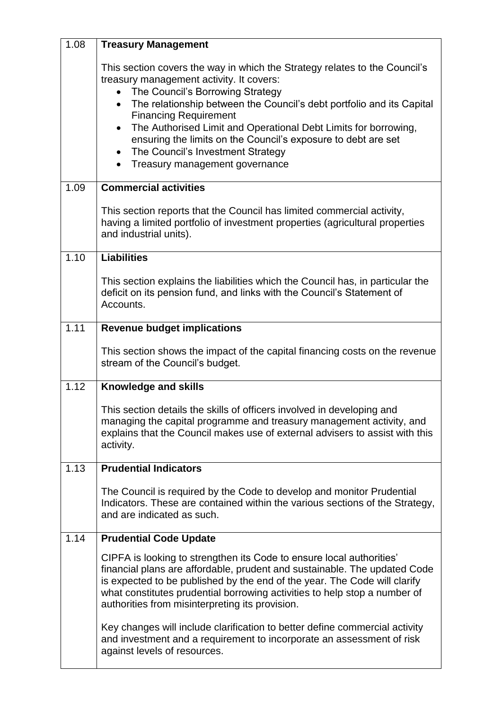| 1.08 | <b>Treasury Management</b>                                                                                                                                                                                                                                                                                                                                     |
|------|----------------------------------------------------------------------------------------------------------------------------------------------------------------------------------------------------------------------------------------------------------------------------------------------------------------------------------------------------------------|
|      | This section covers the way in which the Strategy relates to the Council's<br>treasury management activity. It covers:<br>The Council's Borrowing Strategy<br>$\bullet$                                                                                                                                                                                        |
|      | The relationship between the Council's debt portfolio and its Capital<br>$\bullet$                                                                                                                                                                                                                                                                             |
|      | <b>Financing Requirement</b><br>The Authorised Limit and Operational Debt Limits for borrowing,<br>$\bullet$<br>ensuring the limits on the Council's exposure to debt are set<br>The Council's Investment Strategy<br>$\bullet$<br>Treasury management governance                                                                                              |
| 1.09 | <b>Commercial activities</b>                                                                                                                                                                                                                                                                                                                                   |
|      | This section reports that the Council has limited commercial activity,<br>having a limited portfolio of investment properties (agricultural properties<br>and industrial units).                                                                                                                                                                               |
| 1.10 | <b>Liabilities</b>                                                                                                                                                                                                                                                                                                                                             |
|      | This section explains the liabilities which the Council has, in particular the<br>deficit on its pension fund, and links with the Council's Statement of<br>Accounts.                                                                                                                                                                                          |
| 1.11 | <b>Revenue budget implications</b>                                                                                                                                                                                                                                                                                                                             |
|      | This section shows the impact of the capital financing costs on the revenue<br>stream of the Council's budget.                                                                                                                                                                                                                                                 |
| 1.12 | Knowledge and skills                                                                                                                                                                                                                                                                                                                                           |
|      | This section details the skills of officers involved in developing and<br>managing the capital programme and treasury management activity, and<br>explains that the Council makes use of external advisers to assist with this<br>activity.                                                                                                                    |
| 1.13 | <b>Prudential Indicators</b>                                                                                                                                                                                                                                                                                                                                   |
|      | The Council is required by the Code to develop and monitor Prudential<br>Indicators. These are contained within the various sections of the Strategy,<br>and are indicated as such.                                                                                                                                                                            |
| 1.14 | <b>Prudential Code Update</b>                                                                                                                                                                                                                                                                                                                                  |
|      | CIPFA is looking to strengthen its Code to ensure local authorities'<br>financial plans are affordable, prudent and sustainable. The updated Code<br>is expected to be published by the end of the year. The Code will clarify<br>what constitutes prudential borrowing activities to help stop a number of<br>authorities from misinterpreting its provision. |
|      | Key changes will include clarification to better define commercial activity<br>and investment and a requirement to incorporate an assessment of risk<br>against levels of resources.                                                                                                                                                                           |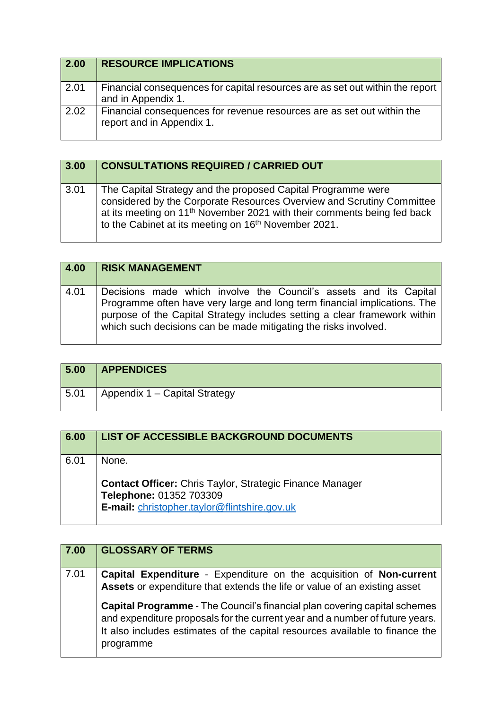| 2.00 | <b>RESOURCE IMPLICATIONS</b>                                                                        |
|------|-----------------------------------------------------------------------------------------------------|
| 2.01 | Financial consequences for capital resources are as set out within the report<br>and in Appendix 1. |
| 2.02 | Financial consequences for revenue resources are as set out within the<br>report and in Appendix 1. |

| 3.00 | <b>CONSULTATIONS REQUIRED / CARRIED OUT</b>                                                                                                                                                                                                                                                      |
|------|--------------------------------------------------------------------------------------------------------------------------------------------------------------------------------------------------------------------------------------------------------------------------------------------------|
| 3.01 | The Capital Strategy and the proposed Capital Programme were<br>considered by the Corporate Resources Overview and Scrutiny Committee<br>at its meeting on 11 <sup>th</sup> November 2021 with their comments being fed back<br>to the Cabinet at its meeting on 16 <sup>th</sup> November 2021. |

| 4.00 | <b>RISK MANAGEMENT</b>                                                                                                                                                                                                                                                                         |
|------|------------------------------------------------------------------------------------------------------------------------------------------------------------------------------------------------------------------------------------------------------------------------------------------------|
| 4.01 | Decisions made which involve the Council's assets and its Capital<br>Programme often have very large and long term financial implications. The<br>purpose of the Capital Strategy includes setting a clear framework within<br>which such decisions can be made mitigating the risks involved. |

| 5.00 | <b>APPENDICES</b>             |
|------|-------------------------------|
| 5.01 | Appendix 1 – Capital Strategy |

| 6.00 | LIST OF ACCESSIBLE BACKGROUND DOCUMENTS                                                    |
|------|--------------------------------------------------------------------------------------------|
| 6.01 | None.                                                                                      |
|      | <b>Contact Officer:</b> Chris Taylor, Strategic Finance Manager<br>Telephone: 01352 703309 |
|      | E-mail: christopher.taylor@flintshire.gov.uk                                               |

| 7.00 | <b>GLOSSARY OF TERMS</b>                                                                                                                                                                                                                                      |
|------|---------------------------------------------------------------------------------------------------------------------------------------------------------------------------------------------------------------------------------------------------------------|
| 7.01 | Capital Expenditure - Expenditure on the acquisition of Non-current<br>Assets or expenditure that extends the life or value of an existing asset                                                                                                              |
|      | <b>Capital Programme - The Council's financial plan covering capital schemes</b><br>and expenditure proposals for the current year and a number of future years.<br>It also includes estimates of the capital resources available to finance the<br>programme |